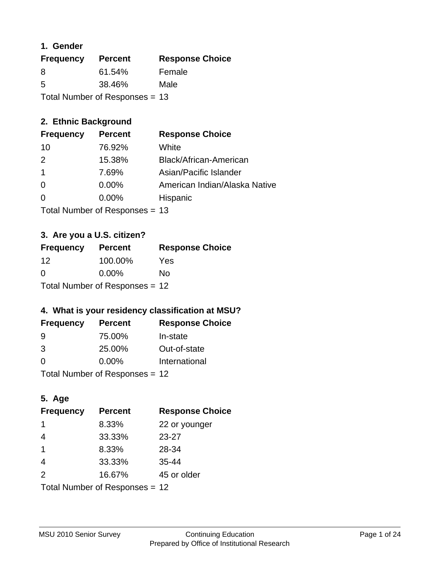## **1. Gender**

| <b>Frequency</b>                 | <b>Percent</b> | <b>Response Choice</b> |
|----------------------------------|----------------|------------------------|
| 8                                | 61.54%         | Female                 |
| 5                                | 38.46%         | Male                   |
| Total Number of Responses $= 13$ |                |                        |

## **2. Ethnic Background**

| <b>Frequency</b> | <b>Percent</b> | <b>Response Choice</b>        |
|------------------|----------------|-------------------------------|
| 10               | 76.92%         | White                         |
| $\mathcal{P}$    | 15.38%         | Black/African-American        |
|                  | 7.69%          | Asian/Pacific Islander        |
| $\Omega$         | 0.00%          | American Indian/Alaska Native |
| $\Omega$         | 0.00%          | Hispanic                      |
|                  |                |                               |

Total Number of Responses = 13

## **3. Are you a U.S. citizen?**

| <b>Frequency</b>               | <b>Percent</b> | <b>Response Choice</b> |
|--------------------------------|----------------|------------------------|
| 12                             | 100.00%        | Yes                    |
| $\Omega$                       | $0.00\%$       | Nο                     |
| Total Number of Responses = 12 |                |                        |

## **4. What is your residency classification at MSU?**

| <b>Frequency</b> | <b>Percent</b> | <b>Response Choice</b> |
|------------------|----------------|------------------------|
| -9               | 75.00%         | In-state               |
| 3                | 25.00%         | Out-of-state           |
| $\Omega$         | $0.00\%$       | International          |
|                  |                |                        |

Total Number of Responses = 12

## **5. Age**

| <b>Frequency</b>               | <b>Percent</b> | <b>Response Choice</b> |
|--------------------------------|----------------|------------------------|
|                                | 8.33%          | 22 or younger          |
| $\overline{4}$                 | 33.33%         | $23 - 27$              |
| $\overline{1}$                 | 8.33%          | 28-34                  |
| $\overline{4}$                 | 33.33%         | $35 - 44$              |
| 2                              | 16.67%         | 45 or older            |
| Total Number of Responses = 12 |                |                        |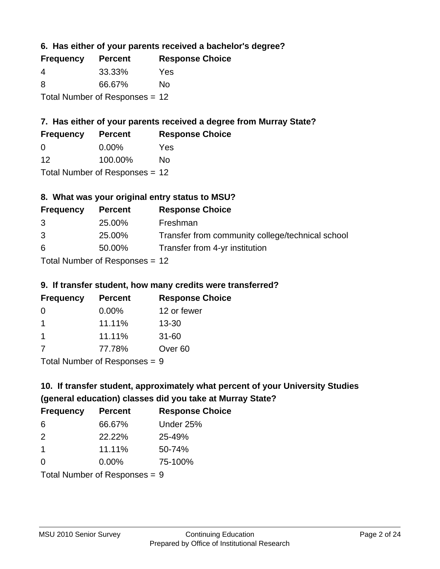**6. Has either of your parents received a bachelor's degree?**

| <b>Frequency</b>                 | <b>Percent</b> | <b>Response Choice</b> |
|----------------------------------|----------------|------------------------|
| 4                                | 33.33%         | Yes                    |
| 8                                | 66.67%         | Nο                     |
| Total Number of Responses $= 12$ |                |                        |

# **7. Has either of your parents received a degree from Murray State?**

| <b>Frequency</b> | <b>Percent</b> | <b>Response Choice</b> |
|------------------|----------------|------------------------|
| $\Omega$         | $0.00\%$       | Yes                    |
| 12               | 100.00%        | Nο                     |
|                  |                |                        |

Total Number of Responses = 12

## **8. What was your original entry status to MSU?**

| <b>Frequency</b>                 | <b>Percent</b> | <b>Response Choice</b>                           |
|----------------------------------|----------------|--------------------------------------------------|
| 3                                | 25.00%         | Freshman                                         |
| 3                                | 25.00%         | Transfer from community college/technical school |
| 6                                | 50.00%         | Transfer from 4-yr institution                   |
| $Total Number of Doononoog = 42$ |                |                                                  |

Total Number of Responses = 12

### **9. If transfer student, how many credits were transferred?**

| <b>Frequency</b> | <b>Percent</b>             | <b>Response Choice</b> |
|------------------|----------------------------|------------------------|
| -0               | $0.00\%$                   | 12 or fewer            |
|                  | 11.11%                     | $13 - 30$              |
| $\mathbf 1$      | 11.11%                     | $31 - 60$              |
| -7               | 77.78%                     | Over <sub>60</sub>     |
|                  | Tatal Number of Desperance |                        |

Total Number of Responses = 9

# **10. If transfer student, approximately what percent of your University Studies (general education) classes did you take at Murray State?**

| <b>Frequency</b>                | <b>Percent</b> | <b>Response Choice</b> |
|---------------------------------|----------------|------------------------|
| 6                               | 66.67%         | Under 25%              |
| 2                               | 22.22%         | 25-49%                 |
| $\overline{1}$                  | 11.11%         | 50-74%                 |
| $\Omega$                        | 0.00%          | 75-100%                |
| Total Number of Responses $= 9$ |                |                        |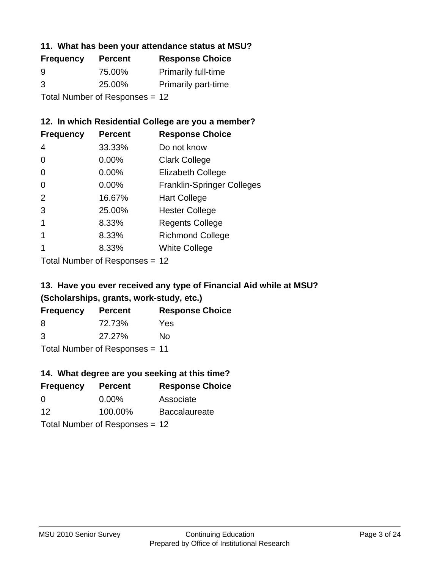## **11. What has been your attendance status at MSU?**

| <b>Frequency</b>               | <b>Percent</b> | <b>Response Choice</b>     |
|--------------------------------|----------------|----------------------------|
| 9                              | 75.00%         | <b>Primarily full-time</b> |
| 3                              | 25.00%         | <b>Primarily part-time</b> |
| Total Number of Responses = 12 |                |                            |

## **12. In which Residential College are you a member?**

| <b>Frequency</b> | <b>Percent</b> | <b>Response Choice</b>            |
|------------------|----------------|-----------------------------------|
| 4                | 33.33%         | Do not know                       |
| 0                | $0.00\%$       | <b>Clark College</b>              |
| 0                | 0.00%          | <b>Elizabeth College</b>          |
| 0                | $0.00\%$       | <b>Franklin-Springer Colleges</b> |
| 2                | 16.67%         | <b>Hart College</b>               |
| 3                | 25.00%         | <b>Hester College</b>             |
|                  | 8.33%          | <b>Regents College</b>            |
|                  | 8.33%          | <b>Richmond College</b>           |
|                  | 8.33%          | <b>White College</b>              |

Total Number of Responses = 12

# **13. Have you ever received any type of Financial Aid while at MSU? (Scholarships, grants, work-study, etc.)**

| <b>Frequency</b> | <b>Percent</b>             | <b>Response Choice</b> |
|------------------|----------------------------|------------------------|
| 8                | 72.73%                     | Yes                    |
| 3                | 27.27%                     | No                     |
|                  | Total Number of Deepersoon |                        |

Total Number of Responses = 11

## **14. What degree are you seeking at this time?**

| <b>Frequency</b> | <b>Percent</b>                 | <b>Response Choice</b> |
|------------------|--------------------------------|------------------------|
| $\Omega$         | $0.00\%$                       | Associate              |
| 12               | 100.00%                        | <b>Baccalaureate</b>   |
|                  | Total Number of Responses = 12 |                        |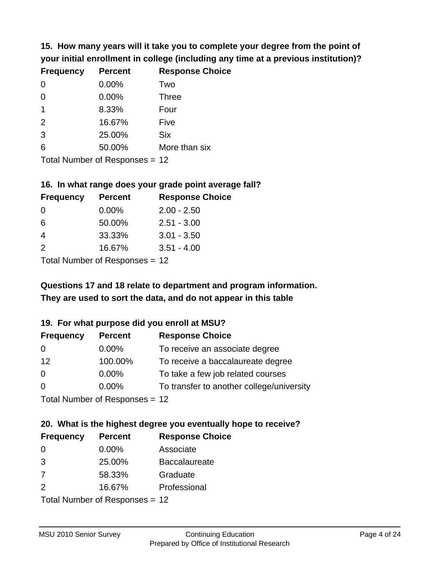**15. How many years will it take you to complete your degree from the point of your initial enrollment in college (including any time at a previous institution)?**

| <b>Frequency</b> | <b>Percent</b> | <b>Response Choice</b> |
|------------------|----------------|------------------------|
| $\Omega$         | 0.00%          | Two                    |
| 0                | 0.00%          | <b>Three</b>           |
| $\mathbf 1$      | 8.33%          | Four                   |
| 2                | 16.67%         | Five                   |
| 3                | 25.00%         | <b>Six</b>             |
| 6                | 50.00%         | More than six          |
|                  |                |                        |

Total Number of Responses = 12

#### **16. In what range does your grade point average fall?**

| <b>Frequency</b> | <b>Percent</b> | <b>Response Choice</b> |
|------------------|----------------|------------------------|
| -0               | $0.00\%$       | $2.00 - 2.50$          |
| 6                | 50.00%         | $2.51 - 3.00$          |
| 4                | 33.33%         | $3.01 - 3.50$          |
| $\mathcal{P}$    | 16.67%         | $3.51 - 4.00$          |
| _                |                |                        |

Total Number of Responses = 12

# **They are used to sort the data, and do not appear in this table Questions 17 and 18 relate to department and program information.**

### **19. For what purpose did you enroll at MSU?**

| <b>Frequency</b> | <b>Percent</b>                 | <b>Response Choice</b>                    |
|------------------|--------------------------------|-------------------------------------------|
| 0                | $0.00\%$                       | To receive an associate degree            |
| 12               | 100.00%                        | To receive a baccalaureate degree         |
| 0                | $0.00\%$                       | To take a few job related courses         |
| $\Omega$         | $0.00\%$                       | To transfer to another college/university |
|                  | Total Number of Reconcese - 12 |                                           |

Total Number of Responses = 12

# **20. What is the highest degree you eventually hope to receive?**

| <b>Frequency</b> | <b>Percent</b>             | <b>Response Choice</b> |
|------------------|----------------------------|------------------------|
| $\Omega$         | $0.00\%$                   | Associate              |
| 3                | 25.00%                     | <b>Baccalaureate</b>   |
| 7                | 58.33%                     | Graduate               |
| 2                | 16.67%                     | Professional           |
|                  | Total Number of Deepersoon |                        |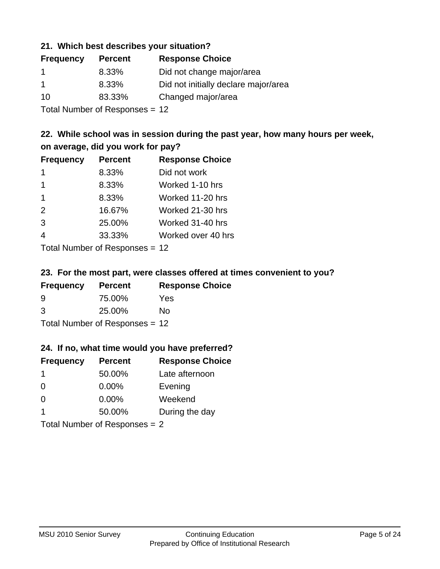### **21. Which best describes your situation?**

| <b>Frequency</b> | <b>Percent</b> | <b>Response Choice</b>               |
|------------------|----------------|--------------------------------------|
| -1               | 8.33%          | Did not change major/area            |
| $\mathbf 1$      | 8.33%          | Did not initially declare major/area |
| 10               | 83.33%         | Changed major/area                   |
|                  |                |                                      |

Total Number of Responses = 12

## **22. While school was in session during the past year, how many hours per week, on average, did you work for pay?**

| <b>Frequency</b> | <b>Percent</b> | <b>Response Choice</b> |
|------------------|----------------|------------------------|
| $\mathbf 1$      | 8.33%          | Did not work           |
| $\mathbf 1$      | 8.33%          | Worked 1-10 hrs        |
| $\overline{1}$   | 8.33%          | Worked 11-20 hrs       |
| 2                | 16.67%         | Worked 21-30 hrs       |
| 3                | 25.00%         | Worked 31-40 hrs       |
| $\overline{4}$   | 33.33%         | Worked over 40 hrs     |
|                  |                |                        |

Total Number of Responses = 12

### **23. For the most part, were classes offered at times convenient to you?**

| <b>Frequency</b>               | <b>Percent</b> | <b>Response Choice</b> |
|--------------------------------|----------------|------------------------|
| 9                              | 75.00%         | Yes                    |
| 3                              | 25.00%         | No.                    |
| Total Number of Responses = 12 |                |                        |

### **24. If no, what time would you have preferred?**

| <b>Frequency</b> | <b>Percent</b>                  | <b>Response Choice</b> |
|------------------|---------------------------------|------------------------|
| $\mathbf 1$      | 50.00%                          | Late afternoon         |
| 0                | $0.00\%$                        | Evening                |
| 0                | $0.00\%$                        | Weekend                |
| -1               | 50.00%                          | During the day         |
|                  | Total Number of Responses = $2$ |                        |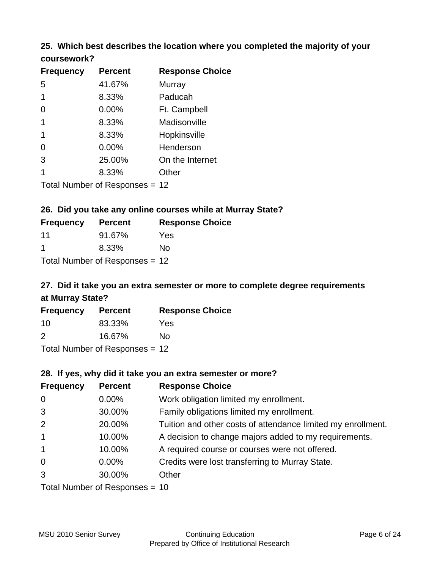## **25. Which best describes the location where you completed the majority of your coursework?**

| <b>Frequency</b> | <b>Percent</b>              | <b>Response Choice</b> |
|------------------|-----------------------------|------------------------|
| 5                | 41.67%                      | Murray                 |
| 1                | 8.33%                       | Paducah                |
| 0                | 0.00%                       | Ft. Campbell           |
|                  | 8.33%                       | Madisonville           |
| 1                | 8.33%                       | Hopkinsville           |
| 0                | 0.00%                       | Henderson              |
| 3                | 25.00%                      | On the Internet        |
|                  | 8.33%                       | Other                  |
|                  | Tetal Niumber of Desperance | ៱                      |

Total Number of Responses = 12

## **26. Did you take any online courses while at Murray State?**

| <b>Frequency</b> | <b>Percent</b>                 | <b>Response</b> |
|------------------|--------------------------------|-----------------|
| -11              | 91.67%                         | Yes             |
| -1               | 8.33%                          | Nο              |
|                  | Total Number of Responses = 12 |                 |

# **27. Did it take you an extra semester or more to complete degree requirements at Murray State?**

**Choice** 

| <b>Frequency</b> | <b>Percent</b>                   | <b>Response Choice</b> |
|------------------|----------------------------------|------------------------|
| 10               | 83.33%                           | Yes                    |
| $\mathcal{P}$    | 16.67%                           | No                     |
|                  | Total Number of Responses $= 12$ |                        |

**28. If yes, why did it take you an extra semester or more?**

| <b>Frequency</b> | <b>Percent</b>                   | <b>Response Choice</b>                                       |
|------------------|----------------------------------|--------------------------------------------------------------|
| $\overline{0}$   | $0.00\%$                         | Work obligation limited my enrollment.                       |
| 3                | 30.00%                           | Family obligations limited my enrollment.                    |
| 2                | 20.00%                           | Tuition and other costs of attendance limited my enrollment. |
| $\mathbf{1}$     | 10.00%                           | A decision to change majors added to my requirements.        |
| $\mathbf{1}$     | 10.00%                           | A required course or courses were not offered.               |
| $\mathbf 0$      | $0.00\%$                         | Credits were lost transferring to Murray State.              |
| 3                | 30.00%                           | Other                                                        |
|                  | Total Number of Responses $= 10$ |                                                              |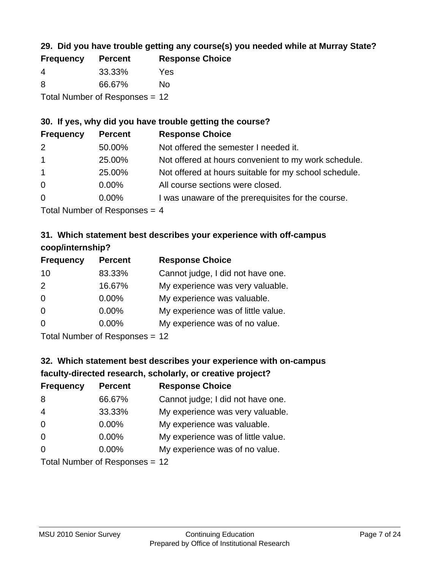## **29. Did you have trouble getting any course(s) you needed while at Murray State?**

| <b>Frequency</b>               | <b>Percent</b> | <b>Response Choice</b> |  |
|--------------------------------|----------------|------------------------|--|
| -4                             | 33.33%         | Yes                    |  |
| -8                             | 66.67%         | N٥                     |  |
| Total Number of Responses = 12 |                |                        |  |

## **30. If yes, why did you have trouble getting the course?**

| <b>Frequency</b> | <b>Percent</b> | <b>Response Choice</b>                                |
|------------------|----------------|-------------------------------------------------------|
| 2                | 50.00%         | Not offered the semester I needed it.                 |
| $\mathbf{1}$     | 25.00%         | Not offered at hours convenient to my work schedule.  |
| $\overline{1}$   | 25.00%         | Not offered at hours suitable for my school schedule. |
| $\overline{0}$   | $0.00\%$       | All course sections were closed.                      |
| $\overline{0}$   | $0.00\%$       | I was unaware of the prerequisites for the course.    |
|                  |                |                                                       |

Total Number of Responses  $= 4$ 

## **31. Which statement best describes your experience with off-campus coop/internship?**

| <b>Frequency</b> | <b>Percent</b> | <b>Response Choice</b>             |
|------------------|----------------|------------------------------------|
| 10               | 83.33%         | Cannot judge, I did not have one.  |
| 2                | 16.67%         | My experience was very valuable.   |
| $\Omega$         | 0.00%          | My experience was valuable.        |
| $\Omega$         | $0.00\%$       | My experience was of little value. |
| $\Omega$         | 0.00%          | My experience was of no value.     |
|                  |                |                                    |

Total Number of Responses = 12

# **32. Which statement best describes your experience with on-campus faculty-directed research, scholarly, or creative project?**

| <b>Frequency</b> | <b>Percent</b>            | <b>Response Choice</b>             |
|------------------|---------------------------|------------------------------------|
| 8                | 66.67%                    | Cannot judge; I did not have one.  |
| $\overline{4}$   | 33.33%                    | My experience was very valuable.   |
| $\Omega$         | 0.00%                     | My experience was valuable.        |
| $\Omega$         | 0.00%                     | My experience was of little value. |
| $\Omega$         | 0.00%                     | My experience was of no value.     |
|                  | Total Number of Desponses |                                    |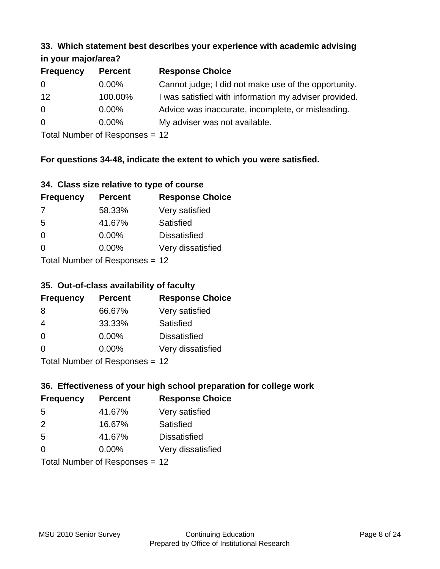#### **33. Which statement best describes your experience with academic advising in your major/area?**

| $\cdots$ your mapproved. |                |                                                       |
|--------------------------|----------------|-------------------------------------------------------|
| <b>Frequency</b>         | <b>Percent</b> | <b>Response Choice</b>                                |
| 0                        | $0.00\%$       | Cannot judge; I did not make use of the opportunity.  |
| 12                       | 100.00%        | I was satisfied with information my adviser provided. |
| $\overline{0}$           | $0.00\%$       | Advice was inaccurate, incomplete, or misleading.     |
| $\overline{0}$           | 0.00%          | My adviser was not available.                         |
|                          |                |                                                       |

Total Number of Responses = 12

## **For questions 34-48, indicate the extent to which you were satisfied.**

| 34. Class size relative to type of course |  |  |  |  |  |  |  |  |
|-------------------------------------------|--|--|--|--|--|--|--|--|
|-------------------------------------------|--|--|--|--|--|--|--|--|

| <b>Frequency</b> | <b>Percent</b>                 | <b>Response Choice</b> |
|------------------|--------------------------------|------------------------|
| -7               | 58.33%                         | Very satisfied         |
| -5               | 41.67%                         | Satisfied              |
| $\Omega$         | $0.00\%$                       | <b>Dissatisfied</b>    |
| $\Omega$         | $0.00\%$                       | Very dissatisfied      |
|                  | Total Number of Responses - 12 |                        |

Total Number of Responses = 12

## **35. Out-of-class availability of faculty**

| <b>Frequency</b> | <b>Percent</b>            | <b>Response Choice</b> |
|------------------|---------------------------|------------------------|
| 8                | 66.67%                    | Very satisfied         |
| 4                | 33.33%                    | Satisfied              |
| $\Omega$         | $0.00\%$                  | <b>Dissatisfied</b>    |
| $\Omega$         | $0.00\%$                  | Very dissatisfied      |
|                  | Total Number of DoEROR 0. |                        |

I otal Number of Responses = 12

## **36. Effectiveness of your high school preparation for college work**

| <b>Frequency</b> | <b>Percent</b>                  | <b>Response Choice</b> |
|------------------|---------------------------------|------------------------|
| .5               | 41.67%                          | Very satisfied         |
| $\mathcal{P}$    | 16.67%                          | Satisfied              |
| 5                | 41.67%                          | <b>Dissatisfied</b>    |
| $\Omega$         | 0.00%                           | Very dissatisfied      |
|                  | Total Number of Reconnect $-12$ |                        |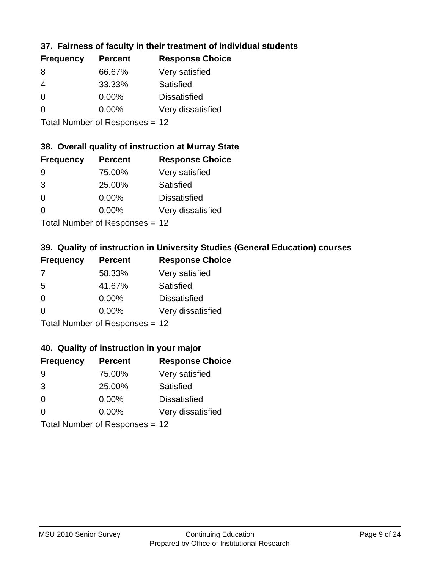## **37. Fairness of faculty in their treatment of individual students**

| <b>Frequency</b> | <b>Percent</b> | <b>Response Choice</b> |
|------------------|----------------|------------------------|
| 8                | 66.67%         | Very satisfied         |
| 4                | 33.33%         | Satisfied              |
| $\Omega$         | $0.00\%$       | <b>Dissatisfied</b>    |
| $\Omega$         | 0.00%          | Very dissatisfied      |
|                  |                |                        |

Total Number of Responses = 12

### **38. Overall quality of instruction at Murray State**

| <b>Frequency</b> | <b>Percent</b> | <b>Response Choice</b> |
|------------------|----------------|------------------------|
| 9                | 75.00%         | Very satisfied         |
| 3                | 25.00%         | Satisfied              |
| $\Omega$         | 0.00%          | <b>Dissatisfied</b>    |
| $\Omega$         | 0.00%          | Very dissatisfied      |
|                  |                |                        |

Total Number of Responses = 12

## **39. Quality of instruction in University Studies (General Education) courses**

| <b>Frequency</b> | <b>Percent</b>            | <b>Response Choice</b> |
|------------------|---------------------------|------------------------|
| 7                | 58.33%                    | Very satisfied         |
| .5               | 41.67%                    | Satisfied              |
| $\Omega$         | $0.00\%$                  | <b>Dissatisfied</b>    |
| $\Omega$         | 0.00%                     | Very dissatisfied      |
|                  | Total Number of Deepensee |                        |

Total Number of Responses = 12

### **40. Quality of instruction in your major**

| <b>Frequency</b> | <b>Percent</b>             | <b>Response Choice</b> |
|------------------|----------------------------|------------------------|
| 9                | 75.00%                     | Very satisfied         |
| 3                | 25.00%                     | Satisfied              |
| $\Omega$         | $0.00\%$                   | <b>Dissatisfied</b>    |
| $\Omega$         | 0.00%                      | Very dissatisfied      |
|                  | Tatal Number of Desperance |                        |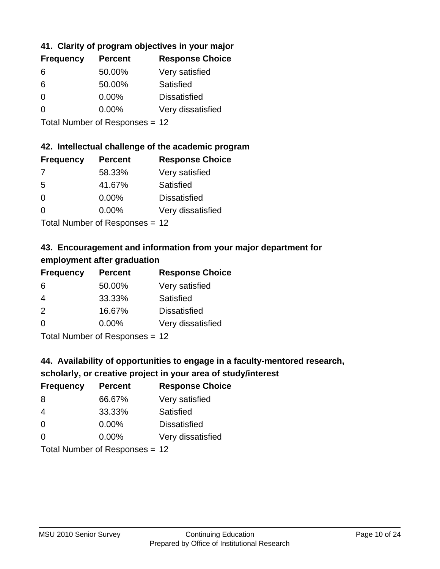## **41. Clarity of program objectives in your major**

| <b>Frequency</b> | <b>Percent</b> | <b>Response Choice</b> |
|------------------|----------------|------------------------|
| 6                | 50.00%         | Very satisfied         |
| 6                | 50.00%         | Satisfied              |
| $\Omega$         | $0.00\%$       | <b>Dissatisfied</b>    |
| ∩                | $0.00\%$       | Very dissatisfied      |
|                  |                |                        |

Total Number of Responses = 12

### **42. Intellectual challenge of the academic program**

| <b>Frequency</b> | <b>Percent</b> | <b>Response Choice</b> |
|------------------|----------------|------------------------|
| 7                | 58.33%         | Very satisfied         |
| .5               | 41.67%         | Satisfied              |
| $\Omega$         | 0.00%          | <b>Dissatisfied</b>    |
| $\Omega$         | 0.00%          | Very dissatisfied      |
|                  |                |                        |

Total Number of Responses = 12

# **43. Encouragement and information from your major department for employment after graduation**

| <b>Frequency</b> | <b>Percent</b>             | <b>Response Choice</b> |
|------------------|----------------------------|------------------------|
| 6                | 50.00%                     | Very satisfied         |
| 4                | 33.33%                     | Satisfied              |
| 2                | 16.67%                     | <b>Dissatisfied</b>    |
| 0                | 0.00%                      | Very dissatisfied      |
|                  | Tatal Manakan af Dannannan |                        |

Total Number of Responses = 12

# **44. Availability of opportunities to engage in a faculty-mentored research,**

### **scholarly, or creative project in your area of study/interest**

| <b>Frequency</b> | <b>Percent</b>                                                                                                                                                                                                                 | <b>Response Choice</b> |
|------------------|--------------------------------------------------------------------------------------------------------------------------------------------------------------------------------------------------------------------------------|------------------------|
| 8                | 66.67%                                                                                                                                                                                                                         | Very satisfied         |
| 4                | 33.33%                                                                                                                                                                                                                         | Satisfied              |
| $\Omega$         | 0.00%                                                                                                                                                                                                                          | <b>Dissatisfied</b>    |
| $\Omega$         | 0.00%                                                                                                                                                                                                                          | Very dissatisfied      |
|                  | The INDIAN Contract Contract in the Contract of The Contract of The Contract of The Contract of The Contract of The Contract of The Contract of The Contract of The Contract of The Contract of The Contract of The Contract o |                        |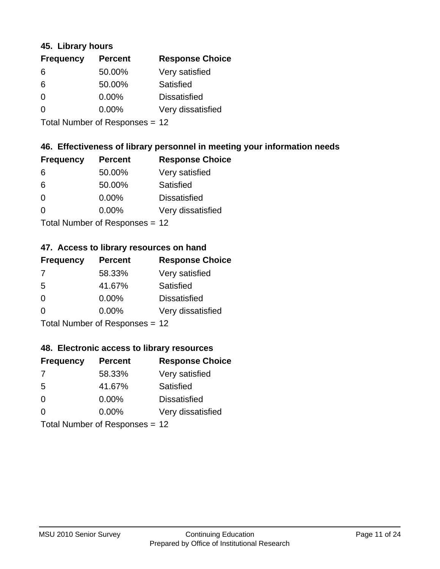### **45. Library hours**

| <b>Frequency</b> | <b>Percent</b> | <b>Response Choice</b> |
|------------------|----------------|------------------------|
| 6                | 50.00%         | Very satisfied         |
| 6                | 50.00%         | Satisfied              |
| 0                | 0.00%          | <b>Dissatisfied</b>    |
| $\Omega$         | 0.00%          | Very dissatisfied      |
|                  |                |                        |

Total Number of Responses = 12

## **46. Effectiveness of library personnel in meeting your information needs**

| <b>Frequency</b> | <b>Percent</b> | <b>Response Choice</b> |
|------------------|----------------|------------------------|
| 6                | 50.00%         | Very satisfied         |
| 6                | 50.00%         | Satisfied              |
| $\Omega$         | 0.00%          | <b>Dissatisfied</b>    |
| $\Omega$         | 0.00%          | Very dissatisfied      |
|                  |                |                        |

Total Number of Responses = 12

#### **47. Access to library resources on hand**

| <b>Frequency</b> | <b>Percent</b>            | <b>Response Choice</b> |
|------------------|---------------------------|------------------------|
| 7                | 58.33%                    | Very satisfied         |
| 5                | 41.67%                    | Satisfied              |
| $\Omega$         | $0.00\%$                  | <b>Dissatisfied</b>    |
| $\Omega$         | $0.00\%$                  | Very dissatisfied      |
|                  | Total Number of Desponses |                        |

Total Number of Responses = 12

### **48. Electronic access to library resources**

| <b>Frequency</b> | <b>Percent</b>                 | <b>Response Choice</b> |
|------------------|--------------------------------|------------------------|
| -7               | 58.33%                         | Very satisfied         |
| -5               | 41.67%                         | Satisfied              |
| $\Omega$         | 0.00%                          | <b>Dissatisfied</b>    |
| $\Omega$         | 0.00%                          | Very dissatisfied      |
|                  | Total Number of Responses = 12 |                        |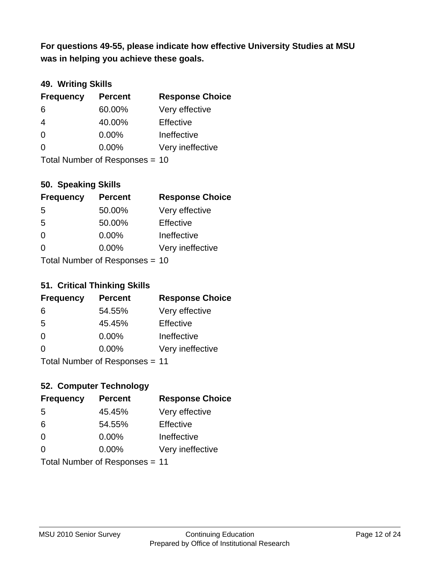**was in helping you achieve these goals. For questions 49-55, please indicate how effective University Studies at MSU** 

## **49. Writing Skills**

| <b>Frequency</b> | <b>Percent</b>                 | <b>Response Choice</b> |
|------------------|--------------------------------|------------------------|
| 6                | 60.00%                         | Very effective         |
| $\overline{4}$   | 40.00%                         | Effective              |
| $\Omega$         | $0.00\%$                       | Ineffective            |
| $\Omega$         | $0.00\%$                       | Very ineffective       |
|                  | Total Number of Responses = 10 |                        |

**50. Speaking Skills**

| <b>Frequency</b>               | <b>Percent</b> | <b>Response Choice</b> |
|--------------------------------|----------------|------------------------|
| -5                             | 50.00%         | Very effective         |
| 5                              | 50.00%         | Effective              |
| $\Omega$                       | 0.00%          | Ineffective            |
| $\Omega$                       | 0.00%          | Very ineffective       |
| Total Number of Poenonces - 10 |                |                        |

Total Number of Responses = 10

## **51. Critical Thinking Skills**

| <b>Frequency</b> | <b>Percent</b>            | <b>Response Choice</b> |
|------------------|---------------------------|------------------------|
| 6                | 54.55%                    | Very effective         |
| 5                | 45.45%                    | Effective              |
| $\Omega$         | 0.00%                     | Ineffective            |
| $\Omega$         | 0.00%                     | Very ineffective       |
|                  | Total Number of Desponses |                        |

Total Number of Responses = 11

## **52. Computer Technology**

| <b>Frequency</b>               | <b>Percent</b> | <b>Response Choice</b> |
|--------------------------------|----------------|------------------------|
| .5                             | 45.45%         | Very effective         |
| 6                              | 54.55%         | Effective              |
| $\Omega$                       | $0.00\%$       | Ineffective            |
| $\Omega$                       | 0.00%          | Very ineffective       |
| Total Number of Responses = 11 |                |                        |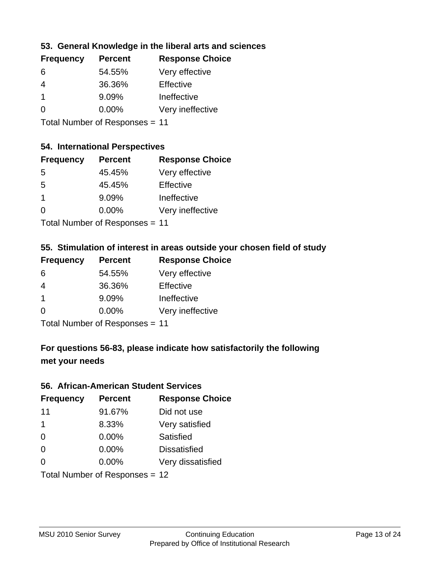## **53. General Knowledge in the liberal arts and sciences**

| <b>Frequency</b> | <b>Percent</b> | <b>Response Choice</b> |
|------------------|----------------|------------------------|
| 6                | 54.55%         | Very effective         |
| 4                | 36.36%         | Effective              |
|                  | 9.09%          | Ineffective            |
| $\Omega$         | 0.00%          | Very ineffective       |
|                  |                |                        |

Total Number of Responses = 11

## **54. International Perspectives**

| <b>Frequency</b> | <b>Percent</b> | <b>Response Choice</b> |
|------------------|----------------|------------------------|
| -5               | 45.45%         | Very effective         |
| -5               | 45.45%         | Effective              |
| 1                | 9.09%          | Ineffective            |
| $\Omega$         | 0.00%          | Very ineffective       |
|                  |                |                        |

Total Number of Responses = 11

### **55. Stimulation of interest in areas outside your chosen field of study**

| <b>Frequency</b> | <b>Percent</b>            | <b>Response Choice</b> |
|------------------|---------------------------|------------------------|
| 6                | 54.55%                    | Very effective         |
| $\overline{4}$   | 36.36%                    | Effective              |
| -1               | 9.09%                     | Ineffective            |
| $\Omega$         | 0.00%                     | Very ineffective       |
|                  | Total Number of Deepensee |                        |

Total Number of Responses = 11

# **For questions 56-83, please indicate how satisfactorily the following met your needs**

#### **56. African-American Student Services**

| <b>Frequency</b> | <b>Percent</b>                 | <b>Response Choice</b> |
|------------------|--------------------------------|------------------------|
| 11               | 91.67%                         | Did not use            |
| $\mathbf 1$      | 8.33%                          | Very satisfied         |
| $\Omega$         | 0.00%                          | Satisfied              |
| $\Omega$         | $0.00\%$                       | <b>Dissatisfied</b>    |
| $\Omega$         | 0.00%                          | Very dissatisfied      |
|                  | Total Number of Responses = 12 |                        |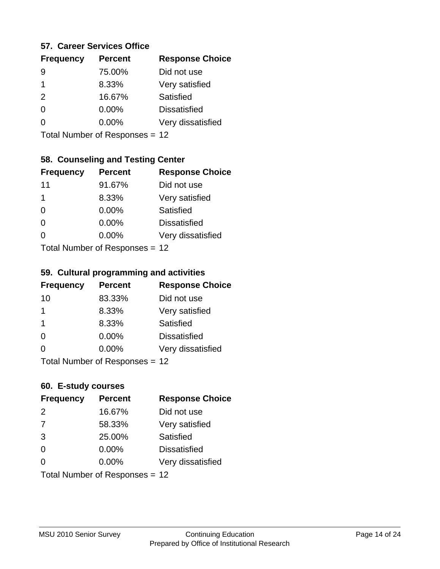### **57. Career Services Office**

| <b>Frequency</b> | <b>Percent</b> | <b>Response Choice</b> |
|------------------|----------------|------------------------|
|                  | 75.00%         | Did not use            |
| 1                | 8.33%          | Very satisfied         |
| 2                | 16.67%         | Satisfied              |
| O                | $0.00\%$       | <b>Dissatisfied</b>    |
|                  | $0.00\%$       | Very dissatisfied      |
|                  |                |                        |

Total Number of Responses = 12

## **58. Counseling and Testing Center**

| <b>Frequency</b>             | <b>Percent</b> | <b>Response Choice</b> |
|------------------------------|----------------|------------------------|
| 11                           | 91.67%         | Did not use            |
| 1                            | 8.33%          | Very satisfied         |
| 0                            | $0.00\%$       | <b>Satisfied</b>       |
| $\Omega$                     | 0.00%          | <b>Dissatisfied</b>    |
| 0                            | $0.00\%$       | Very dissatisfied      |
| $Total Number of DoEROROR -$ |                |                        |

Total Number of Responses = 12

#### **59. Cultural programming and activities**

| <b>Frequency</b> | <b>Percent</b>                  | <b>Response Choice</b> |
|------------------|---------------------------------|------------------------|
| 10               | 83.33%                          | Did not use            |
| $\mathbf 1$      | 8.33%                           | Very satisfied         |
| -1               | 8.33%                           | Satisfied              |
| $\Omega$         | 0.00%                           | <b>Dissatisfied</b>    |
| $\Omega$         | $0.00\%$                        | Very dissatisfied      |
|                  | $Total$ Number of Despanses $-$ |                        |

I otal Number of Responses = 12

### **60. E-study courses**

| <b>Frequency</b> | <b>Percent</b>                 | <b>Response Choice</b> |
|------------------|--------------------------------|------------------------|
| 2                | 16.67%                         | Did not use            |
| 7                | 58.33%                         | Very satisfied         |
| 3                | 25.00%                         | Satisfied              |
| $\Omega$         | $0.00\%$                       | <b>Dissatisfied</b>    |
| $\Omega$         | 0.00%                          | Very dissatisfied      |
|                  | Total Number of Responses = 12 |                        |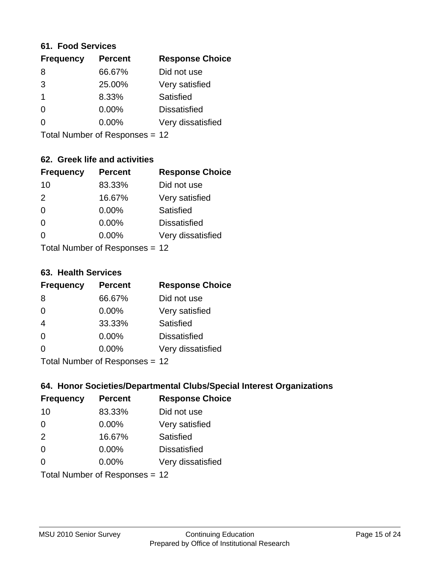#### **61. Food Services**

| <b>Frequency</b> | <b>Percent</b> | <b>Response Choice</b> |
|------------------|----------------|------------------------|
| 8                | 66.67%         | Did not use            |
| 3                | 25.00%         | Very satisfied         |
| -1               | 8.33%          | Satisfied              |
| 0                | $0.00\%$       | <b>Dissatisfied</b>    |
| O                | $0.00\%$       | Very dissatisfied      |
|                  |                |                        |

Total Number of Responses = 12

## **62. Greek life and activities**

| <b>Frequency</b> | <b>Percent</b>                 | <b>Response Choice</b> |
|------------------|--------------------------------|------------------------|
| 10               | 83.33%                         | Did not use            |
| 2                | 16.67%                         | Very satisfied         |
| $\Omega$         | 0.00%                          | Satisfied              |
| $\Omega$         | 0.00%                          | <b>Dissatisfied</b>    |
| O                | 0.00%                          | Very dissatisfied      |
|                  | Total Number of Responses = 12 |                        |

#### **63. Health Services**

| <b>Frequency</b> | <b>Percent</b>            | <b>Response Choice</b> |
|------------------|---------------------------|------------------------|
| 8                | 66.67%                    | Did not use            |
| $\Omega$         | 0.00%                     | Very satisfied         |
| $\overline{4}$   | 33.33%                    | Satisfied              |
| $\Omega$         | 0.00%                     | <b>Dissatisfied</b>    |
| $\Omega$         | 0.00%                     | Very dissatisfied      |
|                  | Total Number of Desponses |                        |

Total Number of Responses = 12

## **64. Honor Societies/Departmental Clubs/Special Interest Organizations**

| <b>Frequency</b> | <b>Percent</b>                 | <b>Response Choice</b> |
|------------------|--------------------------------|------------------------|
| 10               | 83.33%                         | Did not use            |
| $\Omega$         | 0.00%                          | Very satisfied         |
| 2                | 16.67%                         | Satisfied              |
| $\Omega$         | 0.00%                          | <b>Dissatisfied</b>    |
| $\Omega$         | 0.00%                          | Very dissatisfied      |
|                  | Total Number of Responses = 12 |                        |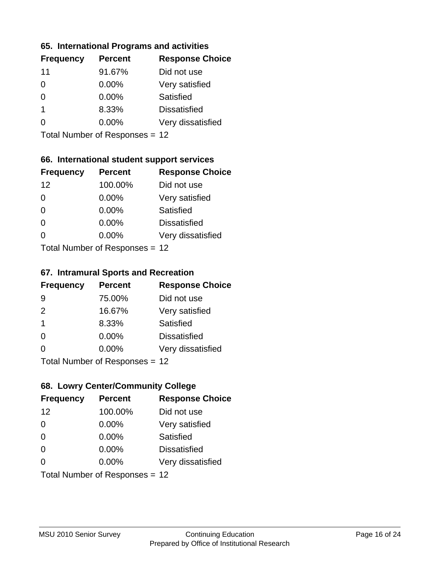### **65. International Programs and activities**

| <b>Frequency</b> | <b>Percent</b> | <b>Response Choice</b> |
|------------------|----------------|------------------------|
| 11               | 91.67%         | Did not use            |
| 0                | $0.00\%$       | Very satisfied         |
| O                | $0.00\%$       | Satisfied              |
| 1                | 8.33%          | <b>Dissatisfied</b>    |
|                  | $0.00\%$       | Very dissatisfied      |
|                  |                |                        |

Total Number of Responses = 12

## **66. International student support services**

| <b>Frequency</b> | <b>Percent</b>                  | <b>Response Choice</b> |
|------------------|---------------------------------|------------------------|
| 12               | 100.00%                         | Did not use            |
| $\overline{0}$   | 0.00%                           | Very satisfied         |
| $\Omega$         | $0.00\%$                        | <b>Satisfied</b>       |
| $\Omega$         | 0.00%                           | <b>Dissatisfied</b>    |
| 0                | $0.00\%$                        | Very dissatisfied      |
|                  | $Total$ Number of Despasses $-$ |                        |

Total Number of Responses = 12

### **67. Intramural Sports and Recreation**

| <b>Frequency</b> | <b>Percent</b>                 | <b>Response Choice</b> |
|------------------|--------------------------------|------------------------|
| 9                | 75.00%                         | Did not use            |
| 2                | 16.67%                         | Very satisfied         |
| -1               | 8.33%                          | Satisfied              |
| $\Omega$         | 0.00%                          | <b>Dissatisfied</b>    |
| $\Omega$         | 0.00%                          | Very dissatisfied      |
|                  | Total Number of Poenances - 12 |                        |

I otal Number of Responses = 12

## **68. Lowry Center/Community College**

| <b>Frequency</b> | <b>Percent</b>                 | <b>Response Choice</b> |
|------------------|--------------------------------|------------------------|
| 12               | 100.00%                        | Did not use            |
| $\Omega$         | 0.00%                          | Very satisfied         |
| $\Omega$         | 0.00%                          | Satisfied              |
| $\Omega$         | $0.00\%$                       | <b>Dissatisfied</b>    |
| $\Omega$         | $0.00\%$                       | Very dissatisfied      |
|                  | Total Number of Responses = 12 |                        |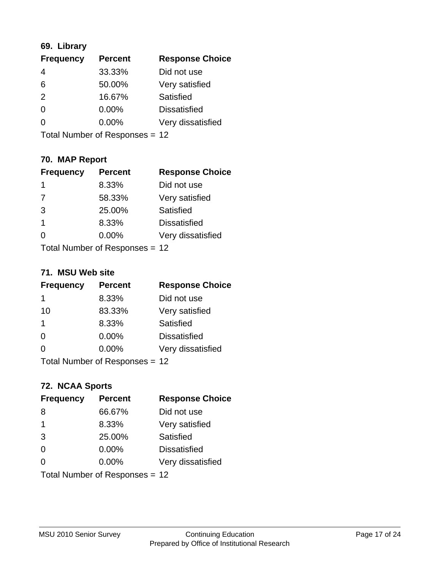## **69. Library**

| <b>Frequency</b> | <b>Percent</b> | <b>Response Choice</b> |
|------------------|----------------|------------------------|
| $\overline{4}$   | 33.33%         | Did not use            |
| 6                | 50.00%         | Very satisfied         |
| 2                | 16.67%         | Satisfied              |
| 0                | 0.00%          | <b>Dissatisfied</b>    |
| $\Omega$         | 0.00%          | Very dissatisfied      |
|                  |                |                        |

Total Number of Responses = 12

## **70. MAP Report**

| <b>Frequency</b> | <b>Percent</b>                 | <b>Response Choice</b> |
|------------------|--------------------------------|------------------------|
| 1                | 8.33%                          | Did not use            |
| $\overline{7}$   | 58.33%                         | Very satisfied         |
| 3                | 25.00%                         | Satisfied              |
| 1                | 8.33%                          | <b>Dissatisfied</b>    |
|                  | $0.00\%$                       | Very dissatisfied      |
|                  | Total Number of Responses = 12 |                        |

### **71. MSU Web site**

| <b>Frequency</b> | <b>Percent</b>                 | <b>Response Choice</b> |
|------------------|--------------------------------|------------------------|
| 1                | 8.33%                          | Did not use            |
| 10               | 83.33%                         | Very satisfied         |
| -1               | 8.33%                          | Satisfied              |
| $\Omega$         | 0.00%                          | <b>Dissatisfied</b>    |
| ∩                | 0.00%                          | Very dissatisfied      |
|                  | Total Number of Responses = 12 |                        |

## **72. NCAA Sports**

| <b>Frequency</b> | <b>Percent</b>                 | <b>Response Choice</b> |
|------------------|--------------------------------|------------------------|
| 8                | 66.67%                         | Did not use            |
| $\mathbf 1$      | 8.33%                          | Very satisfied         |
| 3                | 25.00%                         | Satisfied              |
| $\Omega$         | 0.00%                          | <b>Dissatisfied</b>    |
| $\Omega$         | 0.00%                          | Very dissatisfied      |
|                  | Total Number of Responses = 12 |                        |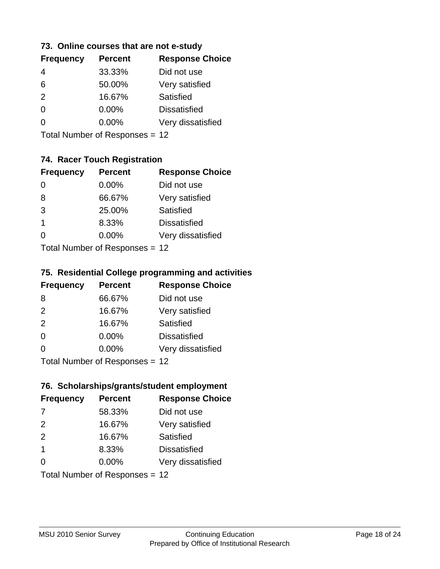### **73. Online courses that are not e-study**

| <b>Frequency</b> | <b>Percent</b> | <b>Response Choice</b> |
|------------------|----------------|------------------------|
| 4                | 33.33%         | Did not use            |
| 6                | 50.00%         | Very satisfied         |
| $\mathcal{P}$    | 16.67%         | Satisfied              |
| 0                | $0.00\%$       | <b>Dissatisfied</b>    |
|                  | $0.00\%$       | Very dissatisfied      |
|                  |                |                        |

Total Number of Responses = 12

## **74. Racer Touch Registration**

| <b>Frequency</b>           | <b>Percent</b> | <b>Response Choice</b> |
|----------------------------|----------------|------------------------|
| $\Omega$                   | 0.00%          | Did not use            |
| 8                          | 66.67%         | Very satisfied         |
| 3                          | 25.00%         | <b>Satisfied</b>       |
| 1                          | 8.33%          | <b>Dissatisfied</b>    |
| 0                          | $0.00\%$       | Very dissatisfied      |
| Total Number of Deepersoon |                |                        |

Total Number of Responses = 12

## **75. Residential College programming and activities**

| <b>Frequency</b>                | <b>Percent</b> | <b>Response Choice</b> |
|---------------------------------|----------------|------------------------|
| 8                               | 66.67%         | Did not use            |
| 2                               | 16.67%         | Very satisfied         |
| 2                               | 16.67%         | Satisfied              |
| $\Omega$                        | 0.00%          | <b>Dissatisfied</b>    |
| $\Omega$                        | $0.00\%$       | Very dissatisfied      |
| $Total Number of Denonose = 12$ |                |                        |

I otal Number of Responses = 12

### **76. Scholarships/grants/student employment**

| <b>Frequency</b> | <b>Percent</b>                 | <b>Response Choice</b> |
|------------------|--------------------------------|------------------------|
| -7               | 58.33%                         | Did not use            |
| 2                | 16.67%                         | Very satisfied         |
| 2                | 16.67%                         | Satisfied              |
| $\mathbf 1$      | 8.33%                          | <b>Dissatisfied</b>    |
| 0                | 0.00%                          | Very dissatisfied      |
|                  | Total Number of Responses = 12 |                        |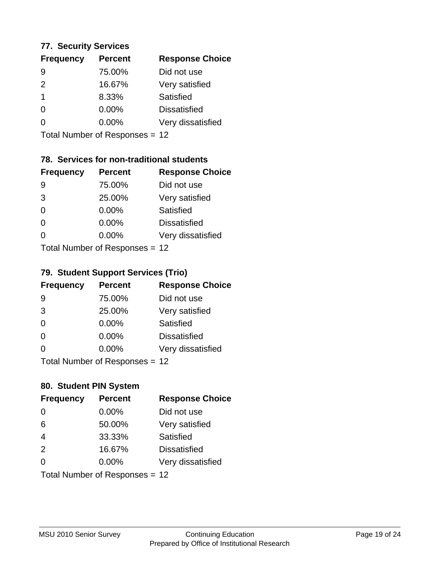### **77. Security Services**

| <b>Frequency</b> | <b>Percent</b> | <b>Response Choice</b> |
|------------------|----------------|------------------------|
| 9                | 75.00%         | Did not use            |
| $\mathcal{P}$    | 16.67%         | Very satisfied         |
| -1               | 8.33%          | Satisfied              |
| 0                | $0.00\%$       | <b>Dissatisfied</b>    |
| O                | $0.00\%$       | Very dissatisfied      |
|                  |                |                        |

Total Number of Responses = 12

## **78. Services for non-traditional students**

| <b>Frequency</b>            | <b>Percent</b> | <b>Response Choice</b> |
|-----------------------------|----------------|------------------------|
| 9                           | 75.00%         | Did not use            |
| 3                           | 25.00%         | Very satisfied         |
| $\Omega$                    | $0.00\%$       | <b>Satisfied</b>       |
| $\Omega$                    | 0.00%          | <b>Dissatisfied</b>    |
| 0                           | $0.00\%$       | Very dissatisfied      |
| Total Number of Despanses - |                |                        |

Total Number of Responses = 12

## **79. Student Support Services (Trio)**

| <b>Frequency</b> | <b>Percent</b>               | <b>Response Choice</b> |
|------------------|------------------------------|------------------------|
| -9               | 75.00%                       | Did not use            |
| 3                | 25.00%                       | Very satisfied         |
| $\Omega$         | $0.00\%$                     | Satisfied              |
| $\Omega$         | 0.00%                        | <b>Dissatisfied</b>    |
| 0                | $0.00\%$                     | Very dissatisfied      |
|                  | $Total Number of Denonce 42$ |                        |

Total Number of Responses = 12

## **80. Student PIN System**

| <b>Frequency</b>               | <b>Percent</b> | <b>Response Choice</b> |
|--------------------------------|----------------|------------------------|
| 0                              | 0.00%          | Did not use            |
| 6                              | 50.00%         | Very satisfied         |
| $\overline{4}$                 | 33.33%         | Satisfied              |
| 2                              | 16.67%         | <b>Dissatisfied</b>    |
| 0                              | $0.00\%$       | Very dissatisfied      |
| Total Number of Responses = 12 |                |                        |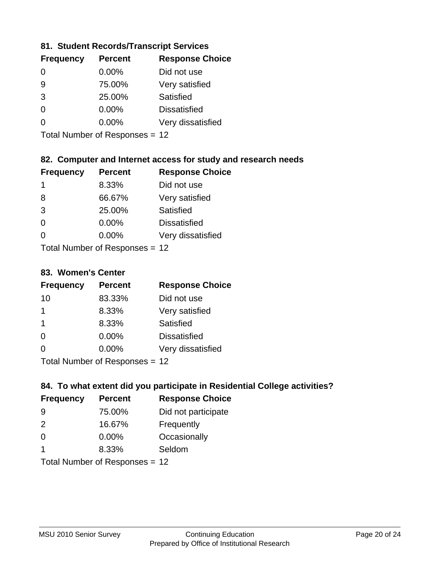## **81. Student Records/Transcript Services**

| <b>Percent</b> | <b>Response Choice</b> |
|----------------|------------------------|
| $0.00\%$       | Did not use            |
| 75.00%         | Very satisfied         |
| 25.00%         | Satisfied              |
| 0.00%          | <b>Dissatisfied</b>    |
| $0.00\%$       | Very dissatisfied      |
|                |                        |

Total Number of Responses = 12

## **82. Computer and Internet access for study and research needs**

| <b>Frequency</b>          | <b>Percent</b> | <b>Response Choice</b> |
|---------------------------|----------------|------------------------|
| 1                         | 8.33%          | Did not use            |
| 8                         | 66.67%         | Very satisfied         |
| 3                         | 25.00%         | Satisfied              |
| $\Omega$                  | 0.00%          | <b>Dissatisfied</b>    |
| ∩                         | 0.00%          | Very dissatisfied      |
| Total Number of Desponses |                |                        |

Total Number of Responses = 12

### **83. Women's Center**

| <b>Frequency</b>           | <b>Percent</b> | <b>Response Choice</b> |  |
|----------------------------|----------------|------------------------|--|
| 10                         | 83.33%         | Did not use            |  |
|                            | 8.33%          | Very satisfied         |  |
| -1                         | 8.33%          | Satisfied              |  |
| $\Omega$                   | 0.00%          | <b>Dissatisfied</b>    |  |
| $\Omega$                   | $0.00\%$       | Very dissatisfied      |  |
| Tatal Number of Desperance |                |                        |  |

Total Number of Responses = 12

## **84. To what extent did you participate in Residential College activities?**

| <b>Frequency</b> | <b>Percent</b>             | <b>Response Choice</b> |
|------------------|----------------------------|------------------------|
| 9                | 75.00%                     | Did not participate    |
| $\mathcal{P}$    | 16.67%                     | Frequently             |
| $\Omega$         | 0.00%                      | Occasionally           |
|                  | 8.33%                      | Seldom                 |
|                  | Total Number of Denonone – |                        |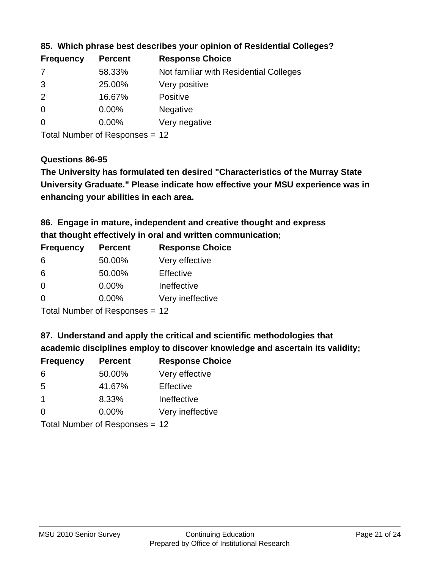| <b>Frequency</b> | <b>Percent</b> | <b>Response Choice</b>                 |
|------------------|----------------|----------------------------------------|
| -7               | 58.33%         | Not familiar with Residential Colleges |
| 3                | 25.00%         | Very positive                          |
| 2                | 16.67%         | <b>Positive</b>                        |
| $\overline{0}$   | 0.00%          | <b>Negative</b>                        |
| -0               | $0.00\%$       | Very negative                          |
|                  |                |                                        |

## **85. Which phrase best describes your opinion of Residential Colleges?**

Total Number of Responses = 12

#### **Questions 86-95**

**University Graduate." Please indicate how effective your MSU experience was in The University has formulated ten desired "Characteristics of the Murray State enhancing your abilities in each area.**

**86. Engage in mature, independent and creative thought and express that thought effectively in oral and written communication;**

| <b>Frequency</b> | <b>Percent</b> | <b>Response Choice</b> |
|------------------|----------------|------------------------|
| 6                | 50.00%         | Very effective         |
| 6                | 50.00%         | Effective              |
| 0                | 0.00%          | Ineffective            |
| $\Omega$         | $0.00\%$       | Very ineffective       |

Total Number of Responses = 12

**87. Understand and apply the critical and scientific methodologies that** 

**academic disciplines employ to discover knowledge and ascertain its validity;**

| <b>Frequency</b> | <b>Percent</b> | <b>Response Choice</b> |
|------------------|----------------|------------------------|
| 6                | 50.00%         | Very effective         |
| .5               | 41.67%         | Effective              |
| $\overline{1}$   | 8.33%          | Ineffective            |
| $\Omega$         | 0.00%          | Very ineffective       |
|                  |                |                        |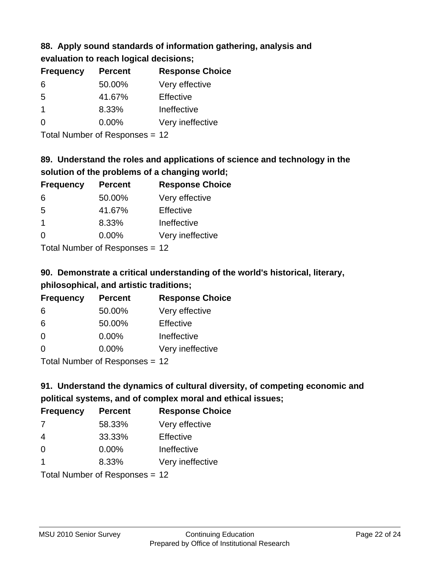## **88. Apply sound standards of information gathering, analysis and evaluation to reach logical decisions;**

| <b>Frequency</b> | <b>Percent</b> | <b>Response Choice</b> |
|------------------|----------------|------------------------|
| 6                | 50.00%         | Very effective         |
| 5                | 41.67%         | Effective              |
| -1               | 8.33%          | Ineffective            |
| $\Omega$         | 0.00%          | Very ineffective       |
|                  |                |                        |

Total Number of Responses = 12

# **89. Understand the roles and applications of science and technology in the solution of the problems of a changing world;**

| <b>Frequency</b>     | <b>Percent</b>                                    | <b>Response Choice</b> |
|----------------------|---------------------------------------------------|------------------------|
| 6                    | 50.00%                                            | Very effective         |
| 5                    | 41.67%                                            | Effective              |
| $\blacktriangleleft$ | 8.33%                                             | Ineffective            |
| $\Omega$             | 0.00%                                             | Very ineffective       |
|                      | $T$ at all Matters because of $D$ are a second on |                        |

Total Number of Responses = 12

# **90. Demonstrate a critical understanding of the world's historical, literary, philosophical, and artistic traditions;**

| <b>Frequency</b> | <b>Percent</b>             | <b>Response Choice</b> |
|------------------|----------------------------|------------------------|
| 6                | 50.00%                     | Very effective         |
| 6                | 50.00%                     | Effective              |
| $\Omega$         | 0.00%                      | Ineffective            |
| $\Omega$         | 0.00%                      | Very ineffective       |
|                  | Tatal Number of Desperance |                        |

Total Number of Responses = 12

# **91. Understand the dynamics of cultural diversity, of competing economic and political systems, and of complex moral and ethical issues;**

| <b>Frequency</b>        | <b>Percent</b>                 | <b>Response Choice</b> |
|-------------------------|--------------------------------|------------------------|
| 7                       | 58.33%                         | Very effective         |
| $\overline{4}$          | 33.33%                         | Effective              |
| 0                       | 0.00%                          | Ineffective            |
| $\overline{\mathbf{1}}$ | 8.33%                          | Very ineffective       |
|                         | Total Number of Responses = 12 |                        |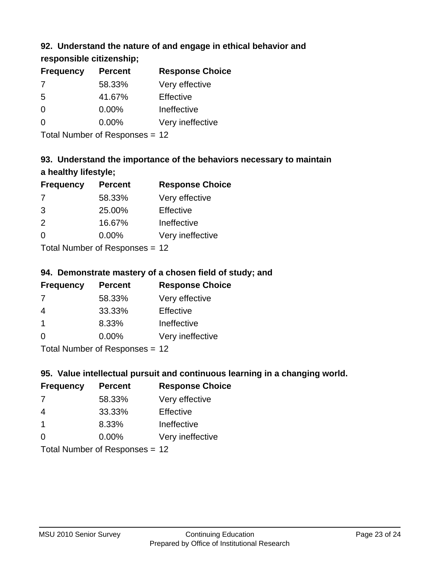## **92. Understand the nature of and engage in ethical behavior and**

**responsible citizenship;**

| <b>Frequency</b> | <b>Percent</b> | <b>Response Choice</b> |
|------------------|----------------|------------------------|
|                  | 58.33%         | Very effective         |
| -5               | 41.67%         | Effective              |
| O                | $0.00\%$       | Ineffective            |
| O                | $0.00\%$       | Very ineffective       |
|                  |                |                        |

Total Number of Responses = 12

# **93. Understand the importance of the behaviors necessary to maintain a healthy lifestyle;**

| <b>Frequency</b> | <b>Percent</b>            | <b>Response Choice</b> |
|------------------|---------------------------|------------------------|
| 7                | 58.33%                    | Very effective         |
| 3                | 25.00%                    | Effective              |
| 2                | 16.67%                    | Ineffective            |
| $\Omega$         | 0.00%                     | Very ineffective       |
|                  | Total Number of Deepersee |                        |

Total Number of Responses = 12

## **94. Demonstrate mastery of a chosen field of study; and**

| <b>Frequency</b> | <b>Percent</b> | <b>Response Choice</b> |
|------------------|----------------|------------------------|
| 7                | 58.33%         | Very effective         |
| 4                | 33.33%         | Effective              |
|                  | 8.33%          | Ineffective            |
| $\Omega$         | 0.00%          | Very ineffective       |
|                  |                |                        |

Total Number of Responses = 12

## **95. Value intellectual pursuit and continuous learning in a changing world.**

| <b>Frequency</b>                        | <b>Percent</b> | <b>Response Choice</b> |
|-----------------------------------------|----------------|------------------------|
| 7                                       | 58.33%         | Very effective         |
| 4                                       | 33.33%         | Effective              |
| $\mathbf 1$                             | 8.33%          | Ineffective            |
| $\Omega$                                | 0.00%          | Very ineffective       |
| $T$ at all Message and $D$ and a series |                |                        |